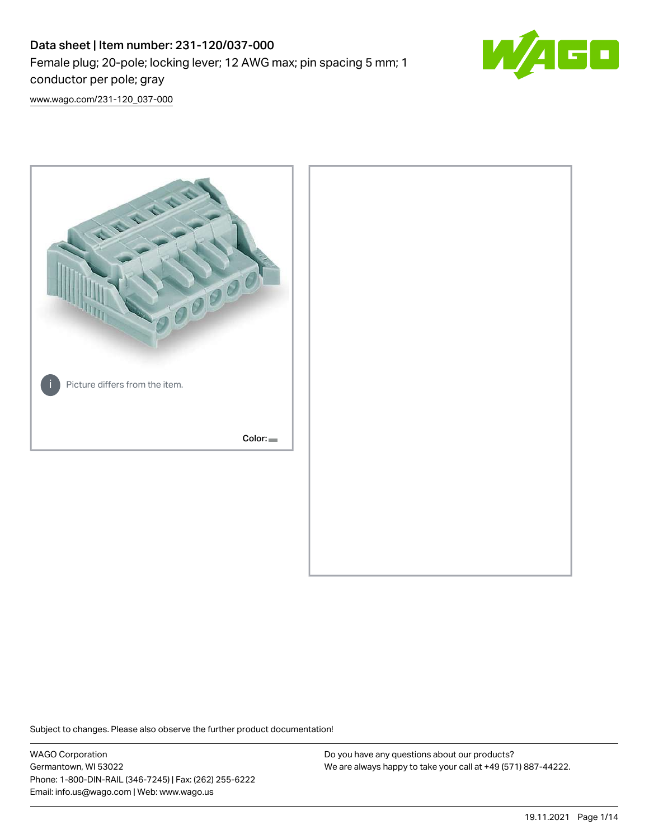# Data sheet | Item number: 231-120/037-000 Female plug; 20-pole; locking lever; 12 AWG max; pin spacing 5 mm; 1 conductor per pole; gray



[www.wago.com/231-120\\_037-000](http://www.wago.com/231-120_037-000)



Subject to changes. Please also observe the further product documentation!

WAGO Corporation Germantown, WI 53022 Phone: 1-800-DIN-RAIL (346-7245) | Fax: (262) 255-6222 Email: info.us@wago.com | Web: www.wago.us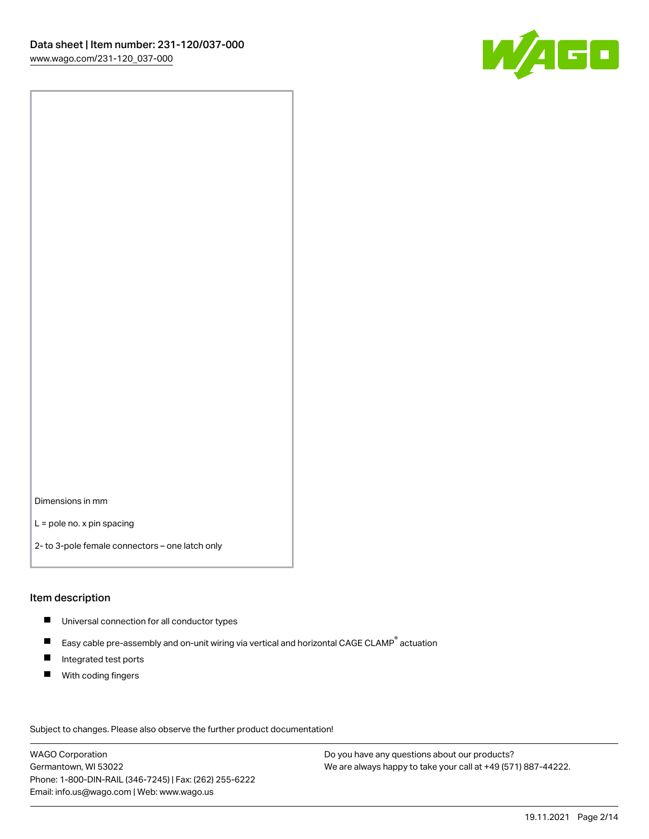

Dimensions in mm

L = pole no. x pin spacing

2- to 3-pole female connectors – one latch only

#### Item description

- **Universal connection for all conductor types**
- Easy cable pre-assembly and on-unit wiring via vertical and horizontal CAGE CLAMP<sup>®</sup> actuation  $\blacksquare$
- $\blacksquare$ Integrated test ports
- $\blacksquare$ With coding fingers

Subject to changes. Please also observe the further product documentation! Data

WAGO Corporation Germantown, WI 53022 Phone: 1-800-DIN-RAIL (346-7245) | Fax: (262) 255-6222 Email: info.us@wago.com | Web: www.wago.us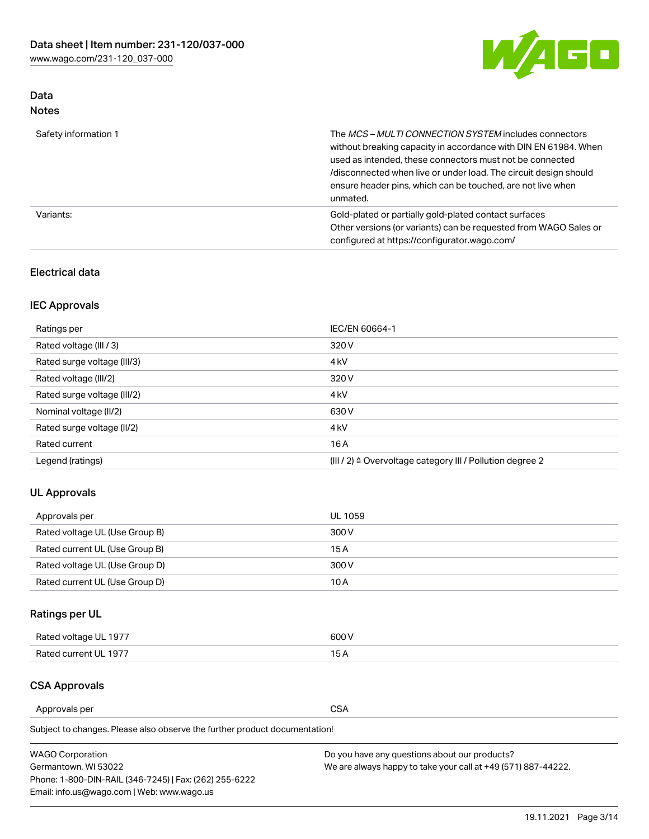

## Data Notes

| Safety information 1 | The MCS-MULTI CONNECTION SYSTEM includes connectors<br>without breaking capacity in accordance with DIN EN 61984. When<br>used as intended, these connectors must not be connected<br>/disconnected when live or under load. The circuit design should<br>ensure header pins, which can be touched, are not live when<br>unmated. |
|----------------------|-----------------------------------------------------------------------------------------------------------------------------------------------------------------------------------------------------------------------------------------------------------------------------------------------------------------------------------|
| Variants:            | Gold-plated or partially gold-plated contact surfaces<br>Other versions (or variants) can be requested from WAGO Sales or<br>configured at https://configurator.wago.com/                                                                                                                                                         |

## Electrical data

## IEC Approvals

| Ratings per                 | IEC/EN 60664-1                                                        |
|-----------------------------|-----------------------------------------------------------------------|
| Rated voltage (III / 3)     | 320 V                                                                 |
| Rated surge voltage (III/3) | 4 <sub>k</sub> V                                                      |
| Rated voltage (III/2)       | 320 V                                                                 |
| Rated surge voltage (III/2) | 4 <sub>k</sub> V                                                      |
| Nominal voltage (II/2)      | 630 V                                                                 |
| Rated surge voltage (II/2)  | 4 <sub>k</sub> V                                                      |
| Rated current               | 16A                                                                   |
| Legend (ratings)            | $(III / 2)$ $\triangle$ Overvoltage category III / Pollution degree 2 |

## UL Approvals

| Approvals per                  | UL 1059 |
|--------------------------------|---------|
| Rated voltage UL (Use Group B) | 300 V   |
| Rated current UL (Use Group B) | 15 A    |
| Rated voltage UL (Use Group D) | 300 V   |
| Rated current UL (Use Group D) | 10 A    |

## Ratings per UL

| Rated voltage UL 1977 | 600 V         |
|-----------------------|---------------|
| Rated current UL 1977 | $\sim$ $\sim$ |

## CSA Approvals

Approvals per CSA

Subject to changes. Please also observe the further product documentation!

| <b>WAGO Corporation</b>                                | Do you have any questions about our products?                 |
|--------------------------------------------------------|---------------------------------------------------------------|
| Germantown, WI 53022                                   | We are always happy to take your call at +49 (571) 887-44222. |
| Phone: 1-800-DIN-RAIL (346-7245)   Fax: (262) 255-6222 |                                                               |
| Email: info.us@wago.com   Web: www.wago.us             |                                                               |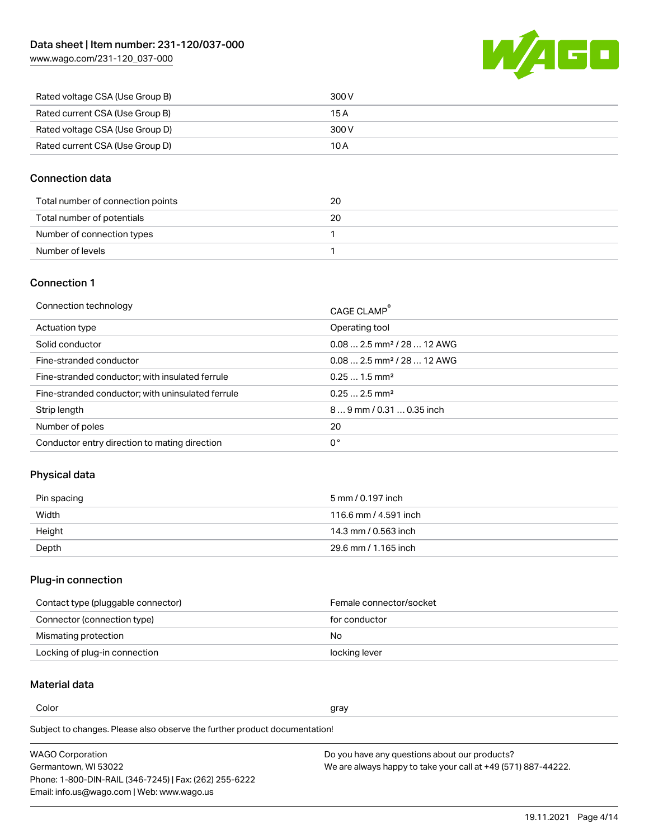[www.wago.com/231-120\\_037-000](http://www.wago.com/231-120_037-000)



| Rated voltage CSA (Use Group B) | 300 V |
|---------------------------------|-------|
| Rated current CSA (Use Group B) | 15 A  |
| Rated voltage CSA (Use Group D) | 300 V |
| Rated current CSA (Use Group D) | 10 A  |

### Connection data

| Total number of connection points | 20 |
|-----------------------------------|----|
| Total number of potentials        | 20 |
| Number of connection types        |    |
| Number of levels                  |    |

### Connection 1

| Operating tool<br>Actuation type<br>$0.082.5$ mm <sup>2</sup> / 28  12 AWG<br>Solid conductor<br>$0.082.5$ mm <sup>2</sup> / 28  12 AWG<br>Fine-stranded conductor<br>$0.251.5$ mm <sup>2</sup><br>Fine-stranded conductor; with insulated ferrule<br>$0.252.5$ mm <sup>2</sup><br>Fine-stranded conductor; with uninsulated ferrule<br>Strip length<br>$89$ mm $/$ 0.31  0.35 inch<br>Number of poles<br>20<br>0°<br>Conductor entry direction to mating direction | Connection technology | CAGE CLAMP <sup>®</sup> |
|---------------------------------------------------------------------------------------------------------------------------------------------------------------------------------------------------------------------------------------------------------------------------------------------------------------------------------------------------------------------------------------------------------------------------------------------------------------------|-----------------------|-------------------------|
|                                                                                                                                                                                                                                                                                                                                                                                                                                                                     |                       |                         |
|                                                                                                                                                                                                                                                                                                                                                                                                                                                                     |                       |                         |
|                                                                                                                                                                                                                                                                                                                                                                                                                                                                     |                       |                         |
|                                                                                                                                                                                                                                                                                                                                                                                                                                                                     |                       |                         |
|                                                                                                                                                                                                                                                                                                                                                                                                                                                                     |                       |                         |
|                                                                                                                                                                                                                                                                                                                                                                                                                                                                     |                       |                         |
|                                                                                                                                                                                                                                                                                                                                                                                                                                                                     |                       |                         |
|                                                                                                                                                                                                                                                                                                                                                                                                                                                                     |                       |                         |

## Physical data

| Pin spacing | 5 mm / 0.197 inch     |
|-------------|-----------------------|
| Width       | 116.6 mm / 4.591 inch |
| Height      | 14.3 mm / 0.563 inch  |
| Depth       | 29.6 mm / 1.165 inch  |

## Plug-in connection

| Contact type (pluggable connector) | Female connector/socket |
|------------------------------------|-------------------------|
| Connector (connection type)        | for conductor           |
| Mismating protection               | No                      |
| Locking of plug-in connection      | locking lever           |

## Material data

Color and the color of the color of the color of the color of the color of the color of the color of the color

Subject to changes. Please also observe the further product documentation! Material group I

| <b>WAGO Corporation</b>                                | Do you have any questions about our products?                 |
|--------------------------------------------------------|---------------------------------------------------------------|
| Germantown, WI 53022                                   | We are always happy to take your call at +49 (571) 887-44222. |
| Phone: 1-800-DIN-RAIL (346-7245)   Fax: (262) 255-6222 |                                                               |
| Email: info.us@wago.com   Web: www.wago.us             |                                                               |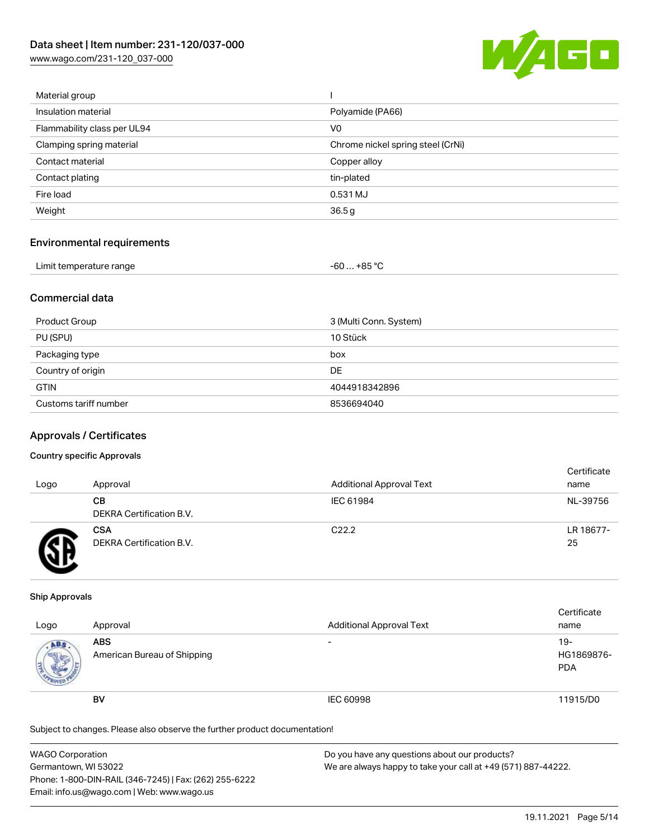[www.wago.com/231-120\\_037-000](http://www.wago.com/231-120_037-000)



| Material group              |                                   |
|-----------------------------|-----------------------------------|
| Insulation material         | Polyamide (PA66)                  |
| Flammability class per UL94 | V <sub>0</sub>                    |
| Clamping spring material    | Chrome nickel spring steel (CrNi) |
| Contact material            | Copper alloy                      |
| Contact plating             | tin-plated                        |
| Fire load                   | 0.531 MJ                          |
| Weight                      | 36.5g                             |
|                             |                                   |

#### Environmental requirements

| Limit temperature range | -60 … +85 ℃ |
|-------------------------|-------------|
|-------------------------|-------------|

## Commercial data

| Product Group         | 3 (Multi Conn. System) |
|-----------------------|------------------------|
| PU (SPU)              | 10 Stück               |
| Packaging type        | box                    |
| Country of origin     | DE                     |
| <b>GTIN</b>           | 4044918342896          |
| Customs tariff number | 8536694040             |

#### Approvals / Certificates

#### Country specific Approvals

| Logo | Approval                               | <b>Additional Approval Text</b> | Certificate<br>name |
|------|----------------------------------------|---------------------------------|---------------------|
|      | CВ<br>DEKRA Certification B.V.         | IEC 61984                       | NL-39756            |
|      | <b>CSA</b><br>DEKRA Certification B.V. | C <sub>22.2</sub>               | LR 18677-<br>25     |

#### Ship Approvals

| Logo                  | Approval                                  | <b>Additional Approval Text</b> | Certificate<br>name                |
|-----------------------|-------------------------------------------|---------------------------------|------------------------------------|
| ABS<br><b>COLLEGE</b> | <b>ABS</b><br>American Bureau of Shipping | $\overline{\phantom{0}}$        | $19 -$<br>HG1869876-<br><b>PDA</b> |
|                       | <b>BV</b>                                 | IEC 60998                       | 11915/D0                           |

Subject to changes. Please also observe the further product documentation!

| <b>WAGO Corporation</b>                                | Do you have any questions about our products?                 |
|--------------------------------------------------------|---------------------------------------------------------------|
| Germantown, WI 53022                                   | We are always happy to take your call at +49 (571) 887-44222. |
| Phone: 1-800-DIN-RAIL (346-7245)   Fax: (262) 255-6222 |                                                               |
| Email: info.us@wago.com   Web: www.wago.us             |                                                               |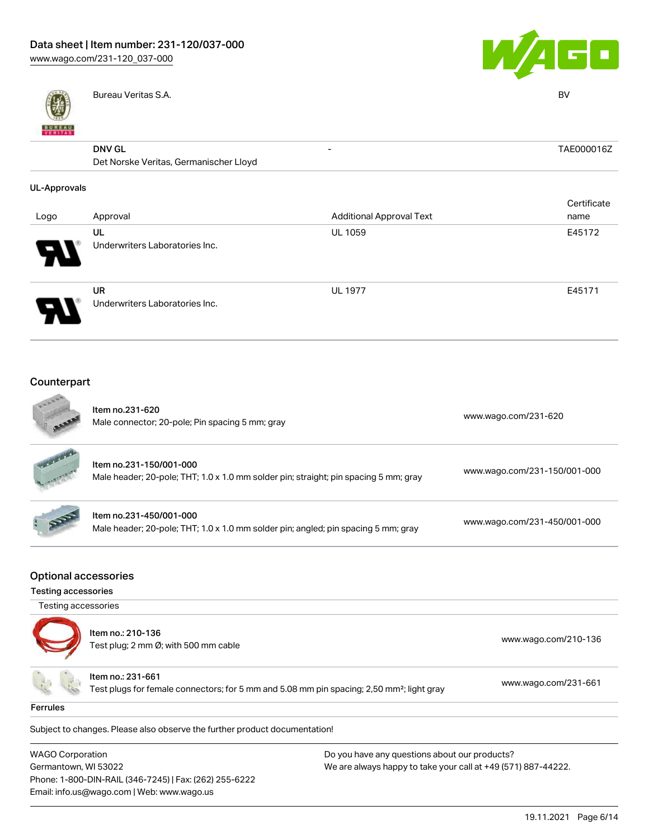



| <b>BUNEAU</b><br>VERITAS | Bureau Veritas S.A.                                     |                                 | <b>BV</b>   |
|--------------------------|---------------------------------------------------------|---------------------------------|-------------|
|                          | <b>DNV GL</b><br>Det Norske Veritas, Germanischer Lloyd | $\overline{\phantom{a}}$        | TAE000016Z  |
| <b>UL-Approvals</b>      |                                                         |                                 | Certificate |
| Logo                     | Approval                                                | <b>Additional Approval Text</b> | name        |
|                          | UL<br>Underwriters Laboratories Inc.                    | <b>UL 1059</b>                  | E45172      |
|                          | <b>UR</b><br>Underwriters Laboratories Inc.             | <b>UL 1977</b>                  | E45171      |

#### Counterpart **Color**

Email: info.us@wago.com | Web: www.wago.us

|                                                           | Item no.231-620<br>Male connector; 20-pole; Pin spacing 5 mm; gray                                                                                                                                                          |  | www.wago.com/231-620         |
|-----------------------------------------------------------|-----------------------------------------------------------------------------------------------------------------------------------------------------------------------------------------------------------------------------|--|------------------------------|
|                                                           | Item no.231-150/001-000<br>Male header; 20-pole; THT; 1.0 x 1.0 mm solder pin; straight; pin spacing 5 mm; gray                                                                                                             |  | www.wago.com/231-150/001-000 |
|                                                           | Item no.231-450/001-000<br>Male header; 20-pole; THT; 1.0 x 1.0 mm solder pin; angled; pin spacing 5 mm; gray                                                                                                               |  | www.wago.com/231-450/001-000 |
| <b>Optional accessories</b><br><b>Testing accessories</b> |                                                                                                                                                                                                                             |  |                              |
| Testing accessories                                       |                                                                                                                                                                                                                             |  |                              |
|                                                           | Item no.: 210-136<br>Test plug; 2 mm Ø; with 500 mm cable                                                                                                                                                                   |  | www.wago.com/210-136         |
|                                                           | Item no.: 231-661<br>Test plugs for female connectors; for 5 mm and 5.08 mm pin spacing; 2,50 mm <sup>2</sup> ; light gray                                                                                                  |  | www.wago.com/231-661         |
| <b>Ferrules</b>                                           |                                                                                                                                                                                                                             |  |                              |
|                                                           | Subject to changes. Please also observe the further product documentation!                                                                                                                                                  |  |                              |
|                                                           | <b>WAGO Corporation</b><br>Do you have any questions about our products?<br>Germantown, WI 53022<br>We are always happy to take your call at +49 (571) 887-44222.<br>Phone: 1-800-DIN-RAIL (346-7245)   Fax: (262) 255-6222 |  |                              |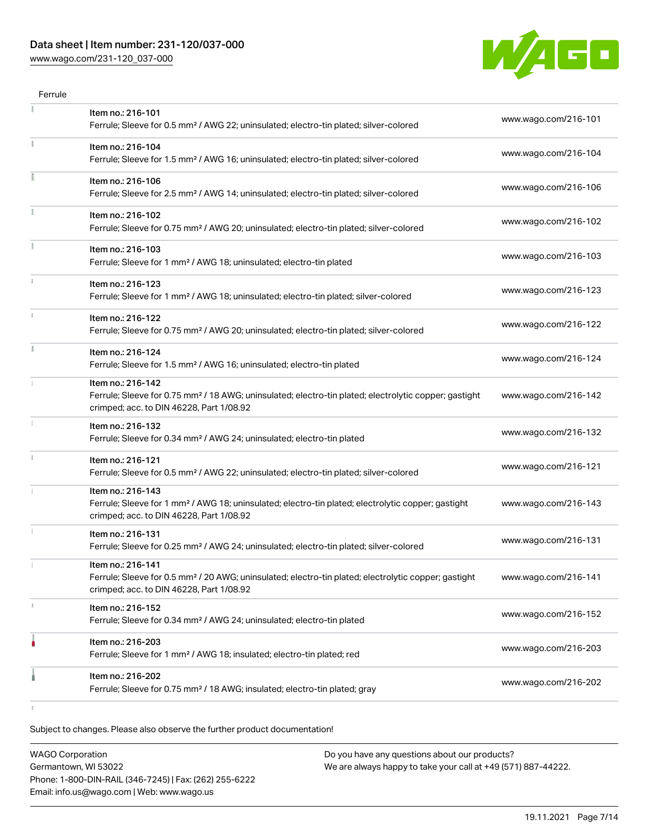## Data sheet | Item number: 231-120/037-000

[www.wago.com/231-120\\_037-000](http://www.wago.com/231-120_037-000)



| Item no.: 216-101                                                                                                                                                                  |                      |
|------------------------------------------------------------------------------------------------------------------------------------------------------------------------------------|----------------------|
| Ferrule; Sleeve for 0.5 mm <sup>2</sup> / AWG 22; uninsulated; electro-tin plated; silver-colored                                                                                  | www.wago.com/216-101 |
| Item no.: 216-104<br>Ferrule; Sleeve for 1.5 mm <sup>2</sup> / AWG 16; uninsulated; electro-tin plated; silver-colored                                                             | www.wago.com/216-104 |
| Item no.: 216-106<br>Ferrule; Sleeve for 2.5 mm <sup>2</sup> / AWG 14; uninsulated; electro-tin plated; silver-colored                                                             | www.wago.com/216-106 |
| Item no.: 216-102<br>Ferrule; Sleeve for 0.75 mm <sup>2</sup> / AWG 20; uninsulated; electro-tin plated; silver-colored                                                            | www.wago.com/216-102 |
| Item no.: 216-103<br>Ferrule; Sleeve for 1 mm <sup>2</sup> / AWG 18; uninsulated; electro-tin plated                                                                               | www.wago.com/216-103 |
| Item no.: 216-123<br>Ferrule; Sleeve for 1 mm <sup>2</sup> / AWG 18; uninsulated; electro-tin plated; silver-colored                                                               | www.wago.com/216-123 |
| Item no.: 216-122<br>Ferrule; Sleeve for 0.75 mm <sup>2</sup> / AWG 20; uninsulated; electro-tin plated; silver-colored                                                            | www.wago.com/216-122 |
| Item no.: 216-124<br>Ferrule; Sleeve for 1.5 mm <sup>2</sup> / AWG 16; uninsulated; electro-tin plated                                                                             | www.wago.com/216-124 |
| Item no.: 216-142<br>Ferrule; Sleeve for 0.75 mm <sup>2</sup> / 18 AWG; uninsulated; electro-tin plated; electrolytic copper; gastight<br>crimped; acc. to DIN 46228, Part 1/08.92 | www.wago.com/216-142 |
| Item no.: 216-132<br>Ferrule; Sleeve for 0.34 mm <sup>2</sup> / AWG 24; uninsulated; electro-tin plated                                                                            | www.wago.com/216-132 |
| Item no.: 216-121<br>Ferrule; Sleeve for 0.5 mm <sup>2</sup> / AWG 22; uninsulated; electro-tin plated; silver-colored                                                             | www.wago.com/216-121 |
| Item no.: 216-143<br>Ferrule; Sleeve for 1 mm <sup>2</sup> / AWG 18; uninsulated; electro-tin plated; electrolytic copper; gastight<br>crimped; acc. to DIN 46228, Part 1/08.92    | www.wago.com/216-143 |
| Item no.: 216-131<br>Ferrule; Sleeve for 0.25 mm <sup>2</sup> / AWG 24; uninsulated; electro-tin plated; silver-colored                                                            | www.wago.com/216-131 |
| Item no.: 216-141<br>Ferrule; Sleeve for 0.5 mm <sup>2</sup> / 20 AWG; uninsulated; electro-tin plated; electrolytic copper; gastight<br>crimped; acc. to DIN 46228, Part 1/08.92  | www.wago.com/216-141 |
| Item no.: 216-152<br>Ferrule; Sleeve for 0.34 mm <sup>2</sup> / AWG 24; uninsulated; electro-tin plated                                                                            | www.wago.com/216-152 |
| Item no.: 216-203<br>Ferrule; Sleeve for 1 mm <sup>2</sup> / AWG 18; insulated; electro-tin plated; red                                                                            | www.wago.com/216-203 |
| Item no.: 216-202                                                                                                                                                                  | www.wago.com/216-202 |
|                                                                                                                                                                                    |                      |

Subject to changes. Please also observe the further product documentation!

| <b>WAGO Corporation</b>                                | Do you have any questions about our products?                 |
|--------------------------------------------------------|---------------------------------------------------------------|
| Germantown, WI 53022                                   | We are always happy to take your call at +49 (571) 887-44222. |
| Phone: 1-800-DIN-RAIL (346-7245)   Fax: (262) 255-6222 |                                                               |
| Email: info.us@wago.com   Web: www.wago.us             |                                                               |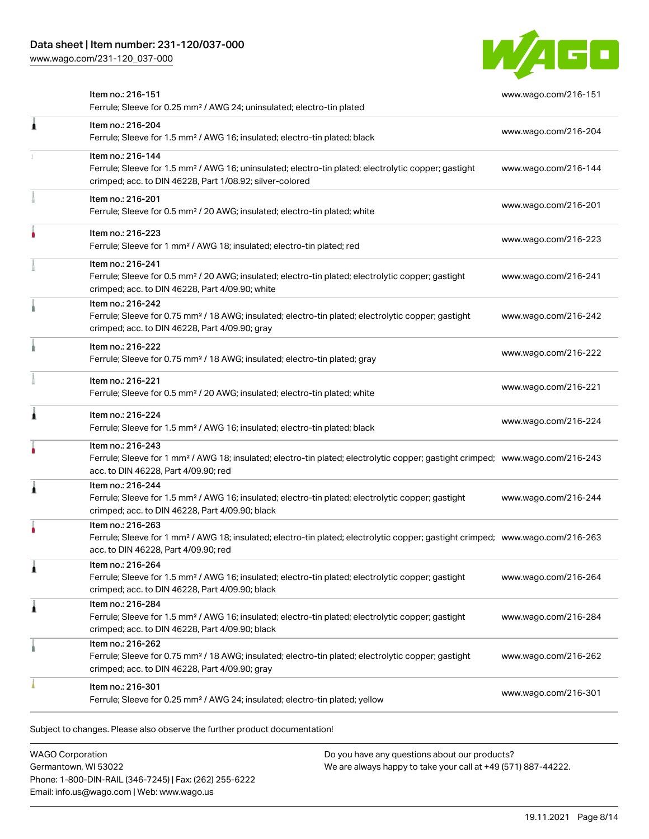[www.wago.com/231-120\\_037-000](http://www.wago.com/231-120_037-000)



|   | Item no.: 216-151<br>Ferrule; Sleeve for 0.25 mm <sup>2</sup> / AWG 24; uninsulated; electro-tin plated                                                                                                 | www.wago.com/216-151 |
|---|---------------------------------------------------------------------------------------------------------------------------------------------------------------------------------------------------------|----------------------|
| Â | Item no.: 216-204<br>Ferrule; Sleeve for 1.5 mm <sup>2</sup> / AWG 16; insulated; electro-tin plated; black                                                                                             | www.wago.com/216-204 |
|   | Item no.: 216-144<br>Ferrule; Sleeve for 1.5 mm <sup>2</sup> / AWG 16; uninsulated; electro-tin plated; electrolytic copper; gastight<br>crimped; acc. to DIN 46228, Part 1/08.92; silver-colored       | www.wago.com/216-144 |
|   | Item no.: 216-201<br>Ferrule; Sleeve for 0.5 mm <sup>2</sup> / 20 AWG; insulated; electro-tin plated; white                                                                                             | www.wago.com/216-201 |
|   | Item no.: 216-223<br>Ferrule; Sleeve for 1 mm <sup>2</sup> / AWG 18; insulated; electro-tin plated; red                                                                                                 | www.wago.com/216-223 |
|   | Item no.: 216-241<br>Ferrule; Sleeve for 0.5 mm <sup>2</sup> / 20 AWG; insulated; electro-tin plated; electrolytic copper; gastight<br>crimped; acc. to DIN 46228, Part 4/09.90; white                  | www.wago.com/216-241 |
|   | Item no.: 216-242<br>Ferrule; Sleeve for 0.75 mm <sup>2</sup> / 18 AWG; insulated; electro-tin plated; electrolytic copper; gastight<br>crimped; acc. to DIN 46228, Part 4/09.90; gray                  | www.wago.com/216-242 |
|   | Item no.: 216-222<br>Ferrule; Sleeve for 0.75 mm <sup>2</sup> / 18 AWG; insulated; electro-tin plated; gray                                                                                             | www.wago.com/216-222 |
|   | Item no.: 216-221<br>Ferrule; Sleeve for 0.5 mm <sup>2</sup> / 20 AWG; insulated; electro-tin plated; white                                                                                             | www.wago.com/216-221 |
| 1 | Item no.: 216-224<br>Ferrule; Sleeve for 1.5 mm <sup>2</sup> / AWG 16; insulated; electro-tin plated; black                                                                                             | www.wago.com/216-224 |
|   | Item no.: 216-243<br>Ferrule; Sleeve for 1 mm <sup>2</sup> / AWG 18; insulated; electro-tin plated; electrolytic copper; gastight crimped; www.wago.com/216-243<br>acc. to DIN 46228, Part 4/09.90; red |                      |
| 1 | Item no.: 216-244<br>Ferrule; Sleeve for 1.5 mm <sup>2</sup> / AWG 16; insulated; electro-tin plated; electrolytic copper; gastight<br>crimped; acc. to DIN 46228, Part 4/09.90; black                  | www.wago.com/216-244 |
| ٠ | Item no.: 216-263<br>Ferrule; Sleeve for 1 mm <sup>2</sup> / AWG 18; insulated; electro-tin plated; electrolytic copper; gastight crimped; www.wago.com/216-263<br>acc. to DIN 46228, Part 4/09.90; red |                      |
| 1 | Item no.: 216-264<br>Ferrule; Sleeve for 1.5 mm <sup>2</sup> / AWG 16; insulated; electro-tin plated; electrolytic copper; gastight<br>crimped; acc. to DIN 46228, Part 4/09.90; black                  | www.wago.com/216-264 |
| 1 | Item no.: 216-284<br>Ferrule; Sleeve for 1.5 mm <sup>2</sup> / AWG 16; insulated; electro-tin plated; electrolytic copper; gastight<br>crimped; acc. to DIN 46228, Part 4/09.90; black                  | www.wago.com/216-284 |
|   | Item no.: 216-262<br>Ferrule; Sleeve for 0.75 mm <sup>2</sup> / 18 AWG; insulated; electro-tin plated; electrolytic copper; gastight<br>crimped; acc. to DIN 46228, Part 4/09.90; gray                  | www.wago.com/216-262 |
|   | Item no.: 216-301<br>Ferrule; Sleeve for 0.25 mm <sup>2</sup> / AWG 24; insulated; electro-tin plated; yellow                                                                                           | www.wago.com/216-301 |
|   |                                                                                                                                                                                                         |                      |

Subject to changes. Please also observe the further product documentation!

WAGO Corporation Germantown, WI 53022 Phone: 1-800-DIN-RAIL (346-7245) | Fax: (262) 255-6222 Email: info.us@wago.com | Web: www.wago.us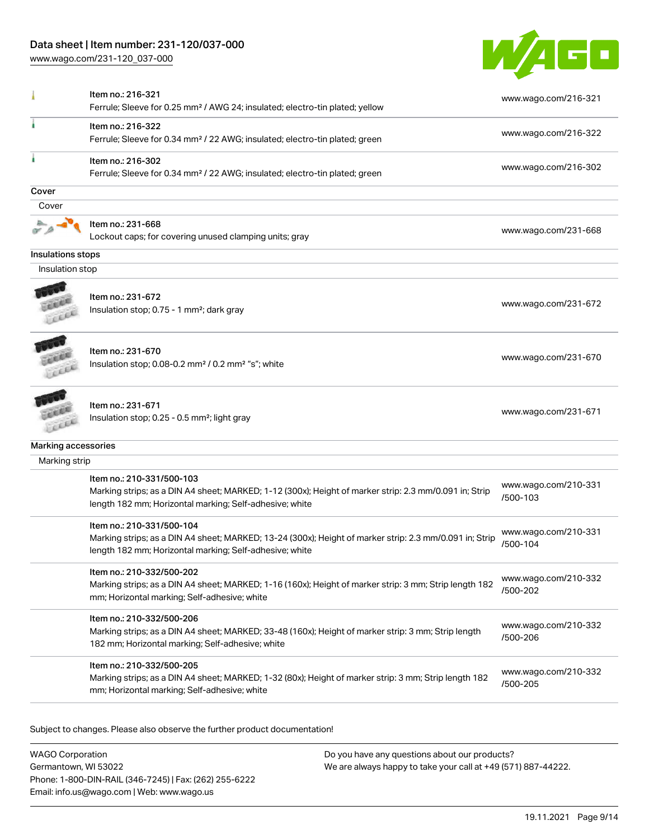## Data sheet | Item number: 231-120/037-000

[www.wago.com/231-120\\_037-000](http://www.wago.com/231-120_037-000)



|                     | Item no.: 216-321                                                                                                                                                                               | www.wago.com/216-321             |
|---------------------|-------------------------------------------------------------------------------------------------------------------------------------------------------------------------------------------------|----------------------------------|
|                     | Ferrule; Sleeve for 0.25 mm <sup>2</sup> / AWG 24; insulated; electro-tin plated; yellow                                                                                                        |                                  |
| J.                  | Item no.: 216-322<br>Ferrule; Sleeve for 0.34 mm <sup>2</sup> / 22 AWG; insulated; electro-tin plated; green                                                                                    | www.wago.com/216-322             |
| ä                   | Item no.: 216-302<br>Ferrule; Sleeve for 0.34 mm <sup>2</sup> / 22 AWG; insulated; electro-tin plated; green                                                                                    | www.wago.com/216-302             |
| Cover               |                                                                                                                                                                                                 |                                  |
| Cover               |                                                                                                                                                                                                 |                                  |
|                     | Item no.: 231-668<br>Lockout caps; for covering unused clamping units; gray                                                                                                                     | www.wago.com/231-668             |
| Insulations stops   |                                                                                                                                                                                                 |                                  |
| Insulation stop     |                                                                                                                                                                                                 |                                  |
|                     | Item no.: 231-672<br>Insulation stop; 0.75 - 1 mm <sup>2</sup> ; dark gray                                                                                                                      | www.wago.com/231-672             |
|                     | Item no.: 231-670<br>Insulation stop; 0.08-0.2 mm <sup>2</sup> / 0.2 mm <sup>2</sup> "s"; white                                                                                                 | www.wago.com/231-670             |
|                     | Item no.: 231-671<br>Insulation stop; 0.25 - 0.5 mm <sup>2</sup> ; light gray                                                                                                                   | www.wago.com/231-671             |
| Marking accessories |                                                                                                                                                                                                 |                                  |
| Marking strip       |                                                                                                                                                                                                 |                                  |
|                     | Item no.: 210-331/500-103<br>Marking strips; as a DIN A4 sheet; MARKED; 1-12 (300x); Height of marker strip: 2.3 mm/0.091 in; Strip<br>length 182 mm; Horizontal marking; Self-adhesive; white  | www.wago.com/210-331<br>/500-103 |
|                     | Item no.: 210-331/500-104<br>Marking strips; as a DIN A4 sheet; MARKED; 13-24 (300x); Height of marker strip: 2.3 mm/0.091 in; Strip<br>length 182 mm; Horizontal marking; Self-adhesive; white | www.wago.com/210-331<br>/500-104 |
|                     | Item no.: 210-332/500-202<br>Marking strips; as a DIN A4 sheet; MARKED; 1-16 (160x); Height of marker strip: 3 mm; Strip length 182<br>mm; Horizontal marking; Self-adhesive; white             | www.wago.com/210-332<br>/500-202 |
|                     | Item no.: 210-332/500-206<br>Marking strips; as a DIN A4 sheet; MARKED; 33-48 (160x); Height of marker strip: 3 mm; Strip length<br>182 mm; Horizontal marking; Self-adhesive; white            | www.wago.com/210-332<br>/500-206 |
|                     | Item no.: 210-332/500-205<br>Marking strips; as a DIN A4 sheet; MARKED; 1-32 (80x); Height of marker strip: 3 mm; Strip length 182<br>mm; Horizontal marking; Self-adhesive; white              | www.wago.com/210-332<br>/500-205 |

Subject to changes. Please also observe the further product documentation!

WAGO Corporation Germantown, WI 53022 Phone: 1-800-DIN-RAIL (346-7245) | Fax: (262) 255-6222 Email: info.us@wago.com | Web: www.wago.us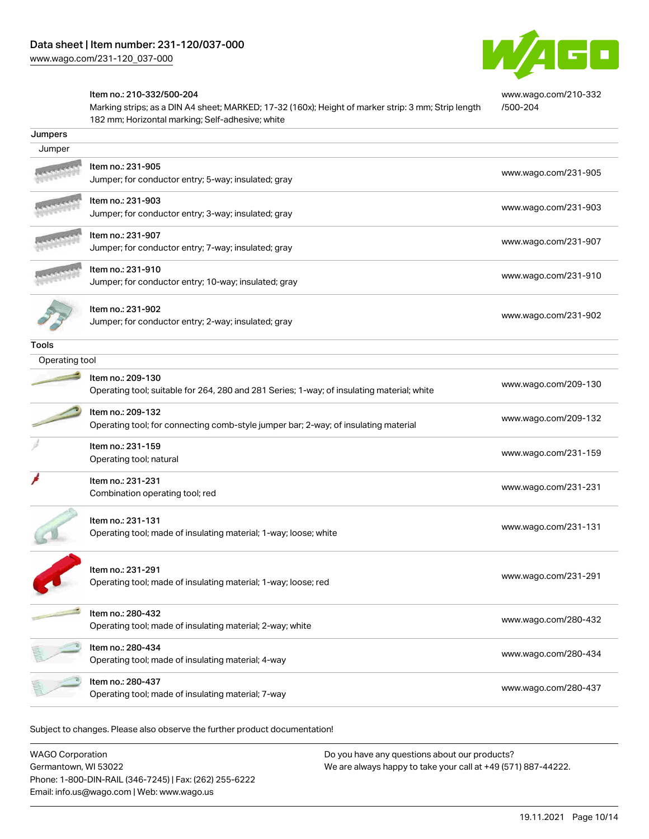

[www.wago.com/210-332](http://www.wago.com/210-332/500-204)

[/500-204](http://www.wago.com/210-332/500-204)

#### Item no.: 210-332/500-204

Marking strips; as a DIN A4 sheet; MARKED; 17-32 (160x); Height of marker strip: 3 mm; Strip length 182 mm; Horizontal marking; Self-adhesive; white

| Jumpers        |                                                                                                                 |                      |
|----------------|-----------------------------------------------------------------------------------------------------------------|----------------------|
| Jumper         |                                                                                                                 |                      |
|                | Item no.: 231-905<br>Jumper; for conductor entry; 5-way; insulated; gray                                        | www.wago.com/231-905 |
|                | Item no.: 231-903<br>Jumper; for conductor entry; 3-way; insulated; gray                                        | www.wago.com/231-903 |
|                | Item no.: 231-907<br>Jumper; for conductor entry; 7-way; insulated; gray                                        | www.wago.com/231-907 |
|                | Item no.: 231-910<br>Jumper; for conductor entry; 10-way; insulated; gray                                       | www.wago.com/231-910 |
|                | Item no.: 231-902<br>Jumper; for conductor entry; 2-way; insulated; gray                                        | www.wago.com/231-902 |
| Tools          |                                                                                                                 |                      |
| Operating tool |                                                                                                                 |                      |
|                | Item no.: 209-130<br>Operating tool; suitable for 264, 280 and 281 Series; 1-way; of insulating material; white | www.wago.com/209-130 |
|                | Item no.: 209-132<br>Operating tool; for connecting comb-style jumper bar; 2-way; of insulating material        | www.wago.com/209-132 |
|                | Item no.: 231-159<br>Operating tool; natural                                                                    | www.wago.com/231-159 |
|                | Item no.: 231-231<br>Combination operating tool; red                                                            | www.wago.com/231-231 |
|                | Item no.: 231-131<br>Operating tool; made of insulating material; 1-way; loose; white                           | www.wago.com/231-131 |
|                | Item no.: 231-291<br>Operating tool; made of insulating material; 1-way; loose; red                             | www.wago.com/231-291 |
|                | Item no.: 280-432<br>Operating tool; made of insulating material; 2-way; white                                  | www.wago.com/280-432 |
|                | Item no.: 280-434<br>Operating tool; made of insulating material; 4-way                                         | www.wago.com/280-434 |
|                | Item no.: 280-437<br>Operating tool; made of insulating material; 7-way                                         | www.wago.com/280-437 |
|                |                                                                                                                 |                      |

Subject to changes. Please also observe the further product documentation!

WAGO Corporation Germantown, WI 53022 Phone: 1-800-DIN-RAIL (346-7245) | Fax: (262) 255-6222 Email: info.us@wago.com | Web: www.wago.us Do you have any questions about our products? We are always happy to take your call at +49 (571) 887-44222.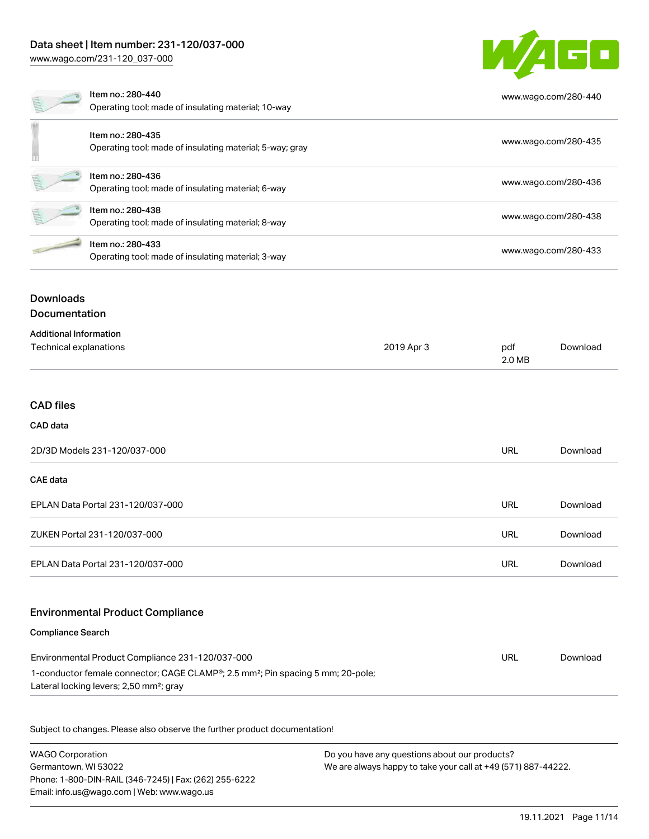# Data sheet | Item number: 231-120/037-000

[www.wago.com/231-120\\_037-000](http://www.wago.com/231-120_037-000)



|                                          | Item no.: 280-440<br>Operating tool; made of insulating material; 10-way      |            |               | www.wago.com/280-440 |  |
|------------------------------------------|-------------------------------------------------------------------------------|------------|---------------|----------------------|--|
|                                          | Item no.: 280-435<br>Operating tool; made of insulating material; 5-way; gray |            |               | www.wago.com/280-435 |  |
|                                          | Item no.: 280-436<br>Operating tool; made of insulating material; 6-way       |            |               | www.wago.com/280-436 |  |
|                                          | Item no.: 280-438<br>Operating tool; made of insulating material; 8-way       |            |               | www.wago.com/280-438 |  |
|                                          | Item no.: 280-433<br>Operating tool; made of insulating material; 3-way       |            |               | www.wago.com/280-433 |  |
| <b>Downloads</b><br><b>Documentation</b> |                                                                               |            |               |                      |  |
| <b>Additional Information</b>            |                                                                               |            |               |                      |  |
| Technical explanations                   |                                                                               | 2019 Apr 3 | pdf<br>2.0 MB | Download             |  |

#### CAD files

#### CAD data

| 2D/3D Models 231-120/037-000      |     | Download |
|-----------------------------------|-----|----------|
| <b>CAE data</b>                   |     |          |
| EPLAN Data Portal 231-120/037-000 | URL | Download |
| ZUKEN Portal 231-120/037-000      | URL | Download |
| EPLAN Data Portal 231-120/037-000 | URL | Download |

#### Environmental Product Compliance

#### Compliance Search

| Environmental Product Compliance 231-120/037-000                                                         | URL | Download |
|----------------------------------------------------------------------------------------------------------|-----|----------|
| 1-conductor female connector; CAGE CLAMP <sup>®</sup> ; 2.5 mm <sup>2</sup> ; Pin spacing 5 mm; 20-pole; |     |          |
| Lateral locking levers; 2,50 mm <sup>2</sup> ; gray                                                      |     |          |

Subject to changes. Please also observe the further product documentation!

WAGO Corporation Germantown, WI 53022 Phone: 1-800-DIN-RAIL (346-7245) | Fax: (262) 255-6222 Email: info.us@wago.com | Web: www.wago.us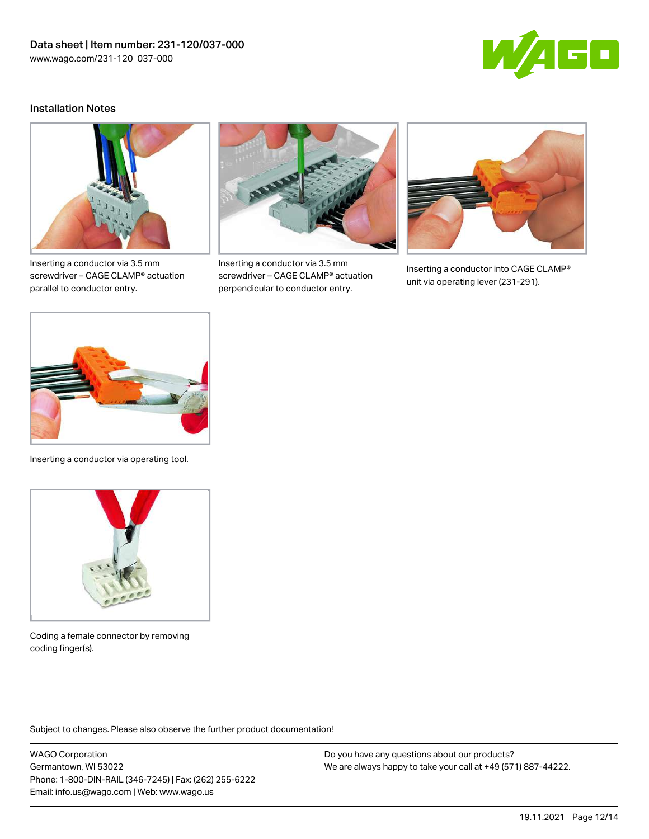

## Installation Notes



Inserting a conductor via 3.5 mm screwdriver – CAGE CLAMP® actuation parallel to conductor entry.



Inserting a conductor via 3.5 mm screwdriver – CAGE CLAMP® actuation perpendicular to conductor entry.



Inserting a conductor into CAGE CLAMP® unit via operating lever (231-291).



Inserting a conductor via operating tool.



Coding a female connector by removing coding finger(s).

Subject to changes. Please also observe the further product documentation!

WAGO Corporation Germantown, WI 53022 Phone: 1-800-DIN-RAIL (346-7245) | Fax: (262) 255-6222 Email: info.us@wago.com | Web: www.wago.us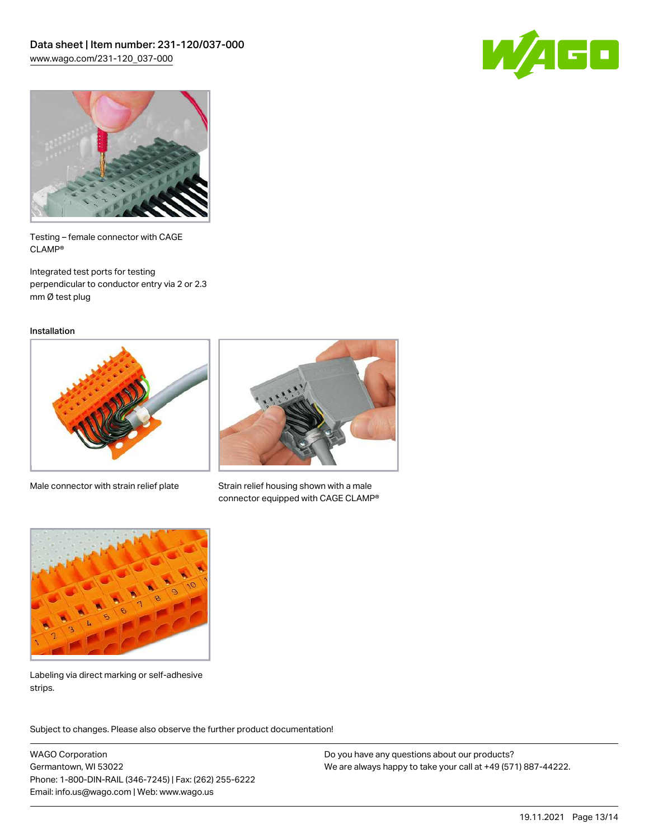



Testing – female connector with CAGE CLAMP®

Integrated test ports for testing perpendicular to conductor entry via 2 or 2.3 mm Ø test plug

Installation



Male connector with strain relief plate



Strain relief housing shown with a male connector equipped with CAGE CLAMP®



Labeling via direct marking or self-adhesive strips.

Subject to changes. Please also observe the further product documentation! Product family

WAGO Corporation Germantown, WI 53022 Phone: 1-800-DIN-RAIL (346-7245) | Fax: (262) 255-6222 Email: info.us@wago.com | Web: www.wago.us